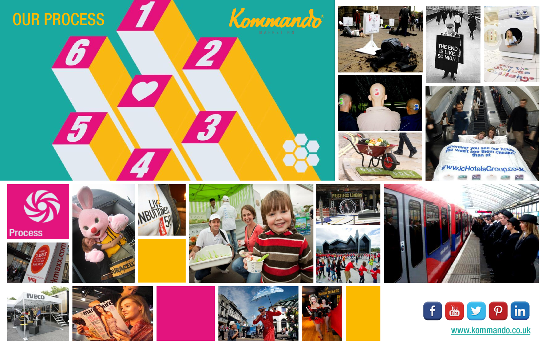







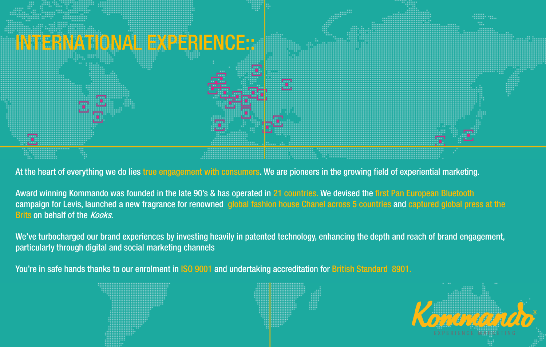

At the heart of everything we do lies true engagement with consumers. We are pioneers in the growing field of experiential marketing.

Award winning Kommando was founded in the late 90's & has operated in 21 countries. We devised the first Pan European Bluetooth campaign for Levis, launched a new fragrance for renowned global fashion house Chanel across 5 countries and captured global press at the **Brits on behalf of the Kooks.** 

We've turbocharged our brand experiences by investing heavily in patented technology, enhancing the depth and reach of brand engagement, particularly through digital and social marketing channels

You're in safe hands thanks to our enrolment in ISO 9001 and undertaking accreditation for British Standard 8901.

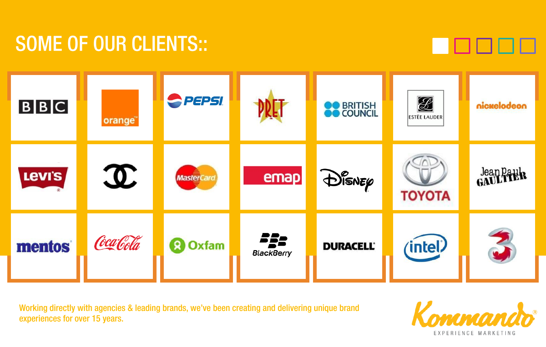## **SOME OF OUR CLIENTS::**





Working directly with agencies & leading brands, we've been creating and delivering unique brand experiences for over 15 years.

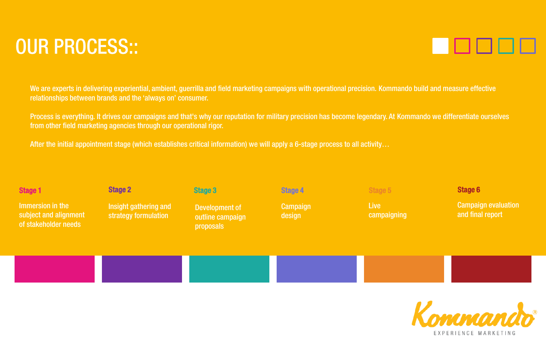# **OUR PROCESS::**

We are experts in delivering experiential, ambient, guerrilla and field marketing campaigns with operational precision. Kommando build and measure effective relationships between brands and the 'always on' consumer.

Process is everything. It drives our campaigns and that's why our reputation for military precision has become legendary. At Kommando we differentiate ourselves from other field marketing agencies through our operational rigor.

After the initial appointment stage (which establishes critical information) we will apply a 6-stage process to all activity…

| <b>Stage 1</b>                                                    | <b>Stage 2</b>                                | Stage 3                                         | Stage 4            | Stage 5                    | Stage 6                                        |
|-------------------------------------------------------------------|-----------------------------------------------|-------------------------------------------------|--------------------|----------------------------|------------------------------------------------|
| Immersion in the<br>subject and alignment<br>of stakeholder needs | Insight gathering and<br>strategy formulation | Development of<br>outline campaign<br>proposals | Campaign<br>design | <b>Live</b><br>campaigning | <b>Campaign evaluation</b><br>and final report |
|                                                                   |                                               |                                                 |                    |                            |                                                |



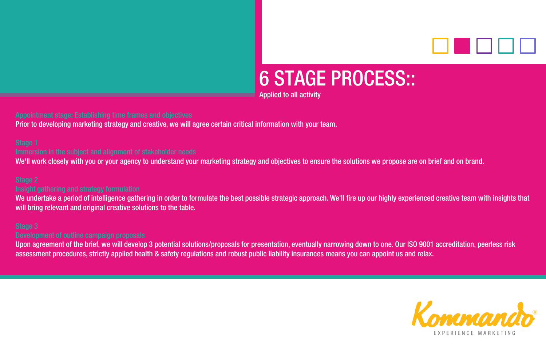

# **6 STAGE PROCESS::**

Applied to all activity

Prior to developing marketing strategy and creative, we will agree certain critical information with your team.

We'll work closely with you or your agency to understand your marketing strategy and objectives to ensure the solutions we propose are on brief and on brand.

We undertake a period of intelligence gathering in order to formulate the best possible strategic approach. We'll fire up our highly experienced creative team with insights that will bring relevant and original creative solutions to the table.

Upon agreement of the brief, we will develop 3 potential solutions/proposals for presentation, eventually narrowing down to one. Our ISO 9001 accreditation, peerless risk assessment procedures, strictly applied health & safety regulations and robust public liability insurances means you can appoint us and relax.

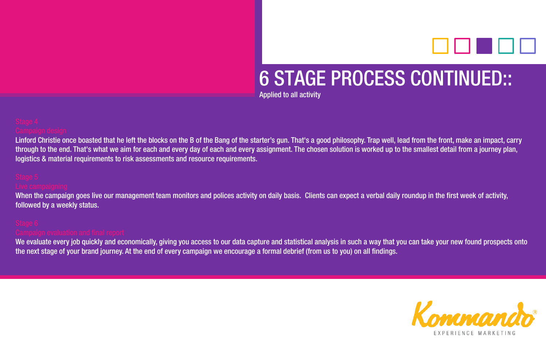

## **6 STAGE PROCESS CONTINUED::**

Applied to all activity

Linford Christie once boasted that he left the blocks on the B of the Bang of the starter's gun. That's a good philosophy. Trap well, lead from the front, make an impact, carry through to the end. That's what we aim for each and every day of each and every assignment. The chosen solution is worked up to the smallest detail from a journey plan, logistics & material requirements to risk assessments and resource requirements.

When the campaign goes live our management team monitors and polices activity on daily basis. Clients can expect a verbal daily roundup in the first week of activity, followed by a weekly status.

We evaluate every job quickly and economically, giving you access to our data capture and statistical analysis in such a way that you can take your new found prospects onto the next stage of your brand journey. At the end of every campaign we encourage a formal debrief (from us to you) on all findings.

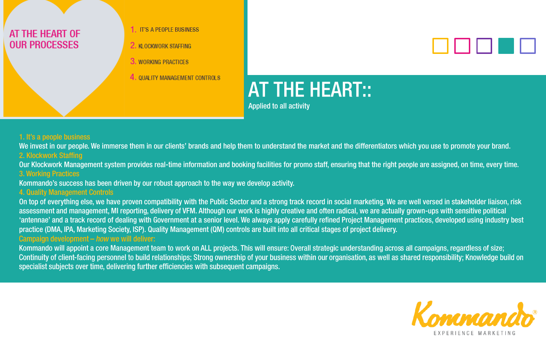## AT THE HEART OF **OUR PROCESSES**

- 1. IT'S A PEOPLE BUSINESS
- 2. KLOCKWORK STAFFING
- 3. WORKING PRACTICES
- 4. QUALITY MANAGEMENT CONTROLS



# **AT THE HEART::**

Applied to all activity

### 1. It's a people business

We invest in our people. We immerse them in our clients' brands and help them to understand the market and the differentiators which you use to promote your brand. 2. Klockwork Staffing

Our Klockwork Management system provides real-time information and booking facilities for promo staff, ensuring that the right people are assigned, on time, every time. 3. Working Practices

Kommando's success has been driven by our robust approach to the way we develop activity.

### 4. Quality Management Controls

On top of everything else, we have proven compatibility with the Public Sector and a strong track record in social marketing. We are well versed in stakeholder liaison, risk assessment and management, MI reporting, delivery of VFM. Although our work is highly creative and often radical, we are actually grown-ups with sensitive political 'antennae' and a track record of dealing with Government at a senior level. We always apply carefully refined Project Management practices, developed using industry best practice (DMA, IPA, Marketing Society, ISP). Quality Management (QM) controls are built into all critical stages of project delivery.Campaign development - how we will deliver:

Kommando will appoint a core Management team to work on ALL projects. This will ensure: Overall strategic understanding across all campaigns, regardless of size; Continuity of client-facing personnel to build relationships; Strong ownership of your business within our organisation, as well as shared responsibility; Knowledge build on specialist subjects over time, delivering further efficiencies with subsequent campaigns.

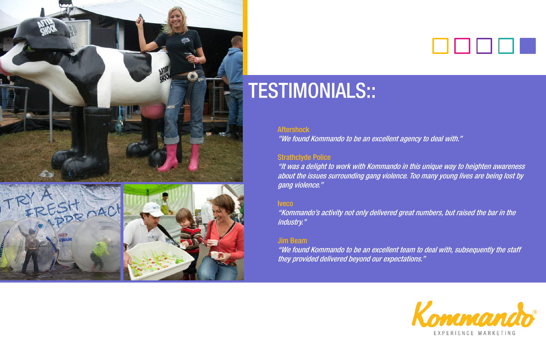



## . . . . .

## **TESTIMONIALS::**

### **Aftershock**

"We found Kommando to be an excellent agency to deal with."

### Strathclyde Police

"It was a delight to work with Kommando in this unique way to heighten awareness about the issues surrounding gang violence. Too many young lives are being lost by gang violence."

### **Iveco**

"Kommando's activity not only delivered great numbers, but raised the bar in the industry."

## Jim Beam

"We found Kommando to be an excellent team to deal with, subsequently the staff they provided delivered beyond our expectations."